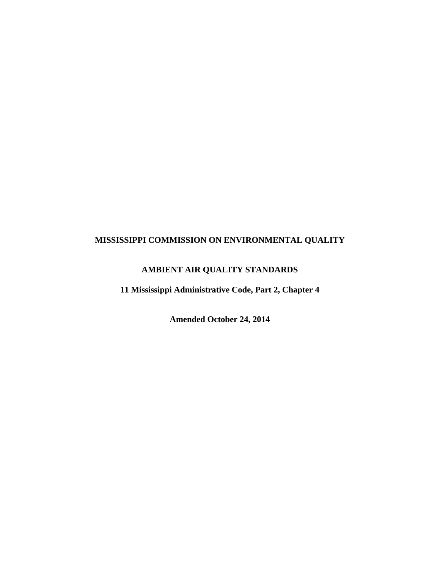## **MISSISSIPPI COMMISSION ON ENVIRONMENTAL QUALITY**

# **AMBIENT AIR QUALITY STANDARDS**

**11 Mississippi Administrative Code, Part 2, Chapter 4** 

**Amended October 24, 2014**